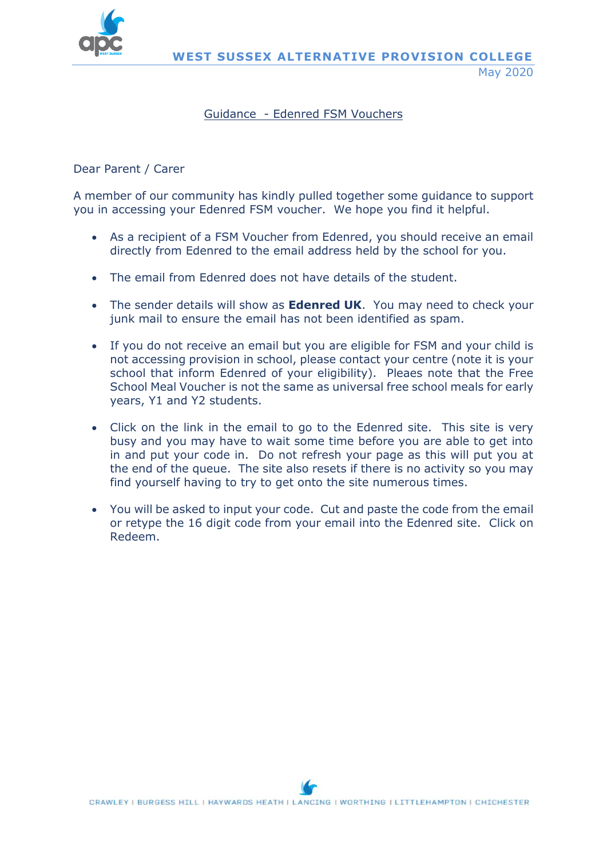

## Guidance - Edenred FSM Vouchers

## Dear Parent / Carer

A member of our community has kindly pulled together some guidance to support you in accessing your Edenred FSM voucher. We hope you find it helpful.

- As a recipient of a FSM Voucher from Edenred, you should receive an email directly from Edenred to the email address held by the school for you.
- The email from Edenred does not have details of the student.
- The sender details will show as **Edenred UK**. You may need to check your junk mail to ensure the email has not been identified as spam.
- If you do not receive an email but you are eligible for FSM and your child is not accessing provision in school, please contact your centre (note it is your school that inform Edenred of your eligibility). Pleaes note that the Free School Meal Voucher is not the same as universal free school meals for early years, Y1 and Y2 students.
- Click on the link in the email to go to the Edenred site. This site is very busy and you may have to wait some time before you are able to get into in and put your code in. Do not refresh your page as this will put you at the end of the queue. The site also resets if there is no activity so you may find yourself having to try to get onto the site numerous times.
- You will be asked to input your code. Cut and paste the code from the email or retype the 16 digit code from your email into the Edenred site. Click on Redeem.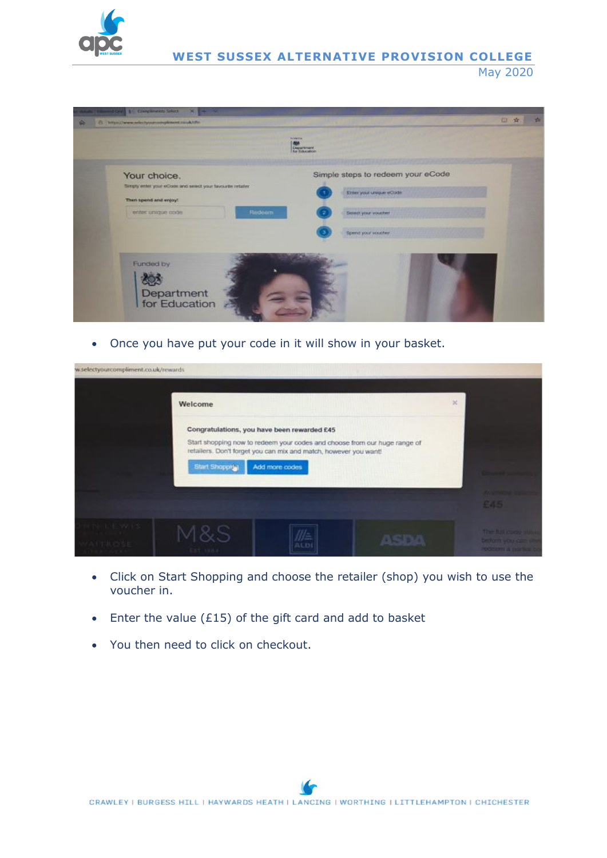

**WEST SUSSEX ALTERNATIVE PROVISION COLLEGE** May 2020



Once you have put your code in it will show in your basket.



- Click on Start Shopping and choose the retailer (shop) you wish to use the voucher in.
- $\bullet$  Enter the value (£15) of the gift card and add to basket
- You then need to click on checkout.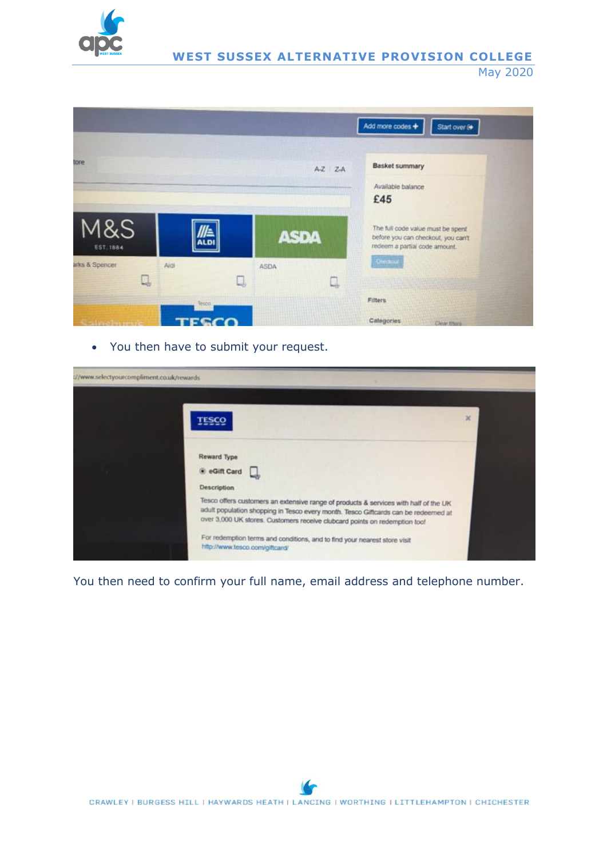

**WEST SUSSEX ALTERNATIVE PROVISION COLLEGE** May 2020



You then have to submit your request.



You then need to confirm your full name, email address and telephone number.